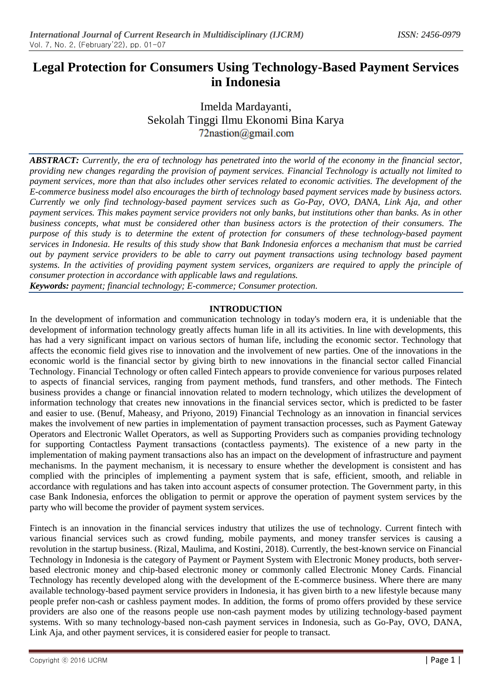# **Legal Protection for Consumers Using Technology-Based Payment Services in Indonesia**

Imelda Mardayanti, Sekolah Tinggi Ilmu Ekonomi Bina Karya  $72$ nastion@gmail.com

*ABSTRACT: Currently, the era of technology has penetrated into the world of the economy in the financial sector, providing new changes regarding the provision of payment services. Financial Technology is actually not limited to payment services, more than that also includes other services related to economic activities. The development of the E-commerce business model also encourages the birth of technology based payment services made by business actors. Currently we only find technology-based payment services such as Go-Pay, OVO, DANA, Link Aja, and other payment services. This makes payment service providers not only banks, but institutions other than banks. As in other business concepts, what must be considered other than business actors is the protection of their consumers. The purpose of this study is to determine the extent of protection for consumers of these technology-based payment services in Indonesia. He results of this study show that Bank Indonesia enforces a mechanism that must be carried out by payment service providers to be able to carry out payment transactions using technology based payment systems. In the activities of providing payment system services, organizers are required to apply the principle of consumer protection in accordance with applicable laws and regulations.*

*Keywords: payment; financial technology; E-commerce; Consumer protection.*

## **INTRODUCTION**

In the development of information and communication technology in today's modern era, it is undeniable that the development of information technology greatly affects human life in all its activities. In line with developments, this has had a very significant impact on various sectors of human life, including the economic sector. Technology that affects the economic field gives rise to innovation and the involvement of new parties. One of the innovations in the economic world is the financial sector by giving birth to new innovations in the financial sector called Financial Technology. Financial Technology or often called Fintech appears to provide convenience for various purposes related to aspects of financial services, ranging from payment methods, fund transfers, and other methods. The Fintech business provides a change or financial innovation related to modern technology, which utilizes the development of information technology that creates new innovations in the financial services sector, which is predicted to be faster and easier to use. (Benuf, Maheasy, and Priyono, 2019) Financial Technology as an innovation in financial services makes the involvement of new parties in implementation of payment transaction processes, such as Payment Gateway Operators and Electronic Wallet Operators, as well as Supporting Providers such as companies providing technology for supporting Contactless Payment transactions (contactless payments). The existence of a new party in the implementation of making payment transactions also has an impact on the development of infrastructure and payment mechanisms. In the payment mechanism, it is necessary to ensure whether the development is consistent and has complied with the principles of implementing a payment system that is safe, efficient, smooth, and reliable in accordance with regulations and has taken into account aspects of consumer protection. The Government party, in this case Bank Indonesia, enforces the obligation to permit or approve the operation of payment system services by the party who will become the provider of payment system services.

Fintech is an innovation in the financial services industry that utilizes the use of technology. Current fintech with various financial services such as crowd funding, mobile payments, and money transfer services is causing a revolution in the startup business. (Rizal, Maulima, and Kostini, 2018). Currently, the best-known service on Financial Technology in Indonesia is the category of Payment or Payment System with Electronic Money products, both serverbased electronic money and chip-based electronic money or commonly called Electronic Money Cards. Financial Technology has recently developed along with the development of the E-commerce business. Where there are many available technology-based payment service providers in Indonesia, it has given birth to a new lifestyle because many people prefer non-cash or cashless payment modes. In addition, the forms of promo offers provided by these service providers are also one of the reasons people use non-cash payment modes by utilizing technology-based payment systems. With so many technology-based non-cash payment services in Indonesia, such as Go-Pay, OVO, DANA, Link Aja, and other payment services, it is considered easier for people to transact.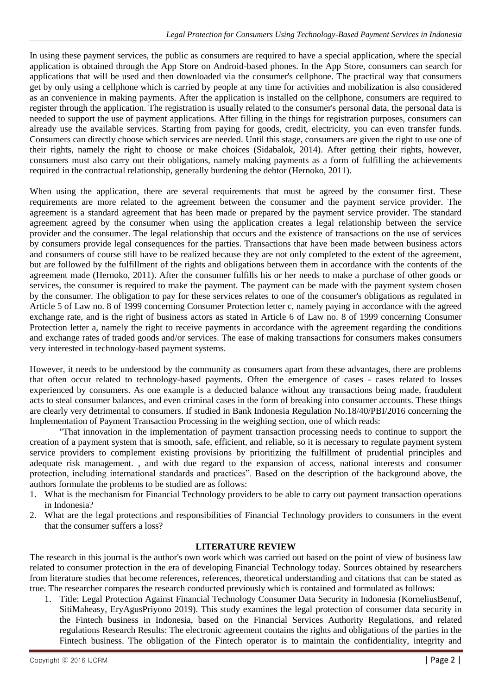In using these payment services, the public as consumers are required to have a special application, where the special application is obtained through the App Store on Android-based phones. In the App Store, consumers can search for applications that will be used and then downloaded via the consumer's cellphone. The practical way that consumers get by only using a cellphone which is carried by people at any time for activities and mobilization is also considered as an convenience in making payments. After the application is installed on the cellphone, consumers are required to register through the application. The registration is usually related to the consumer's personal data, the personal data is needed to support the use of payment applications. After filling in the things for registration purposes, consumers can already use the available services. Starting from paying for goods, credit, electricity, you can even transfer funds. Consumers can directly choose which services are needed. Until this stage, consumers are given the right to use one of their rights, namely the right to choose or make choices (Sidabalok, 2014). After getting their rights, however, consumers must also carry out their obligations, namely making payments as a form of fulfilling the achievements required in the contractual relationship, generally burdening the debtor (Hernoko, 2011).

When using the application, there are several requirements that must be agreed by the consumer first. These requirements are more related to the agreement between the consumer and the payment service provider. The agreement is a standard agreement that has been made or prepared by the payment service provider. The standard agreement agreed by the consumer when using the application creates a legal relationship between the service provider and the consumer. The legal relationship that occurs and the existence of transactions on the use of services by consumers provide legal consequences for the parties. Transactions that have been made between business actors and consumers of course still have to be realized because they are not only completed to the extent of the agreement, but are followed by the fulfillment of the rights and obligations between them in accordance with the contents of the agreement made (Hernoko, 2011). After the consumer fulfills his or her needs to make a purchase of other goods or services, the consumer is required to make the payment. The payment can be made with the payment system chosen by the consumer. The obligation to pay for these services relates to one of the consumer's obligations as regulated in Article 5 of Law no. 8 of 1999 concerning Consumer Protection letter c, namely paying in accordance with the agreed exchange rate, and is the right of business actors as stated in Article 6 of Law no. 8 of 1999 concerning Consumer Protection letter a, namely the right to receive payments in accordance with the agreement regarding the conditions and exchange rates of traded goods and/or services. The ease of making transactions for consumers makes consumers very interested in technology-based payment systems.

However, it needs to be understood by the community as consumers apart from these advantages, there are problems that often occur related to technology-based payments. Often the emergence of cases - cases related to losses experienced by consumers. As one example is a deducted balance without any transactions being made, fraudulent acts to steal consumer balances, and even criminal cases in the form of breaking into consumer accounts. These things are clearly very detrimental to consumers. If studied in Bank Indonesia Regulation No.18/40/PBI/2016 concerning the Implementation of Payment Transaction Processing in the weighing section, one of which reads:

"That innovation in the implementation of payment transaction processing needs to continue to support the creation of a payment system that is smooth, safe, efficient, and reliable, so it is necessary to regulate payment system service providers to complement existing provisions by prioritizing the fulfillment of prudential principles and adequate risk management. , and with due regard to the expansion of access, national interests and consumer protection, including international standards and practices". Based on the description of the background above, the authors formulate the problems to be studied are as follows:

- 1. What is the mechanism for Financial Technology providers to be able to carry out payment transaction operations in Indonesia?
- 2. What are the legal protections and responsibilities of Financial Technology providers to consumers in the event that the consumer suffers a loss?

## **LITERATURE REVIEW**

The research in this journal is the author's own work which was carried out based on the point of view of business law related to consumer protection in the era of developing Financial Technology today. Sources obtained by researchers from literature studies that become references, references, theoretical understanding and citations that can be stated as true. The researcher compares the research conducted previously which is contained and formulated as follows:

1. Title: Legal Protection Against Financial Technology Consumer Data Security in Indonesia (KorneliusBenuf, SitiMaheasy, EryAgusPriyono 2019). This study examines the legal protection of consumer data security in the Fintech business in Indonesia, based on the Financial Services Authority Regulations, and related regulations Research Results: The electronic agreement contains the rights and obligations of the parties in the Fintech business. The obligation of the Fintech operator is to maintain the confidentiality, integrity and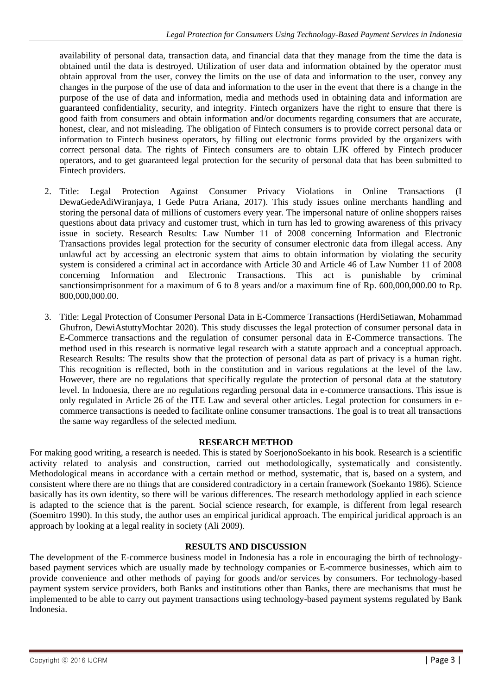availability of personal data, transaction data, and financial data that they manage from the time the data is obtained until the data is destroyed. Utilization of user data and information obtained by the operator must obtain approval from the user, convey the limits on the use of data and information to the user, convey any changes in the purpose of the use of data and information to the user in the event that there is a change in the purpose of the use of data and information, media and methods used in obtaining data and information are guaranteed confidentiality, security, and integrity. Fintech organizers have the right to ensure that there is good faith from consumers and obtain information and/or documents regarding consumers that are accurate, honest, clear, and not misleading. The obligation of Fintech consumers is to provide correct personal data or information to Fintech business operators, by filling out electronic forms provided by the organizers with correct personal data. The rights of Fintech consumers are to obtain LJK offered by Fintech producer operators, and to get guaranteed legal protection for the security of personal data that has been submitted to Fintech providers.

- 2. Title: Legal Protection Against Consumer Privacy Violations in Online Transactions (I DewaGedeAdiWiranjaya, I Gede Putra Ariana, 2017). This study issues online merchants handling and storing the personal data of millions of customers every year. The impersonal nature of online shoppers raises questions about data privacy and customer trust, which in turn has led to growing awareness of this privacy issue in society. Research Results: Law Number 11 of 2008 concerning Information and Electronic Transactions provides legal protection for the security of consumer electronic data from illegal access. Any unlawful act by accessing an electronic system that aims to obtain information by violating the security system is considered a criminal act in accordance with Article 30 and Article 46 of Law Number 11 of 2008 concerning Information and Electronic Transactions. This act is punishable by criminal sanctionsimprisonment for a maximum of 6 to 8 years and/or a maximum fine of Rp. 600,000,000.00 to Rp. 800,000,000.00.
- 3. Title: Legal Protection of Consumer Personal Data in E-Commerce Transactions (HerdiSetiawan, Mohammad Ghufron, DewiAstuttyMochtar 2020). This study discusses the legal protection of consumer personal data in E-Commerce transactions and the regulation of consumer personal data in E-Commerce transactions. The method used in this research is normative legal research with a statute approach and a conceptual approach. Research Results: The results show that the protection of personal data as part of privacy is a human right. This recognition is reflected, both in the constitution and in various regulations at the level of the law. However, there are no regulations that specifically regulate the protection of personal data at the statutory level. In Indonesia, there are no regulations regarding personal data in e-commerce transactions. This issue is only regulated in Article 26 of the ITE Law and several other articles. Legal protection for consumers in ecommerce transactions is needed to facilitate online consumer transactions. The goal is to treat all transactions the same way regardless of the selected medium.

## **RESEARCH METHOD**

For making good writing, a research is needed. This is stated by SoerjonoSoekanto in his book. Research is a scientific activity related to analysis and construction, carried out methodologically, systematically and consistently. Methodological means in accordance with a certain method or method, systematic, that is, based on a system, and consistent where there are no things that are considered contradictory in a certain framework (Soekanto 1986). Science basically has its own identity, so there will be various differences. The research methodology applied in each science is adapted to the science that is the parent. Social science research, for example, is different from legal research (Soemitro 1990). In this study, the author uses an empirical juridical approach. The empirical juridical approach is an approach by looking at a legal reality in society (Ali 2009).

### **RESULTS AND DISCUSSION**

The development of the E-commerce business model in Indonesia has a role in encouraging the birth of technologybased payment services which are usually made by technology companies or E-commerce businesses, which aim to provide convenience and other methods of paying for goods and/or services by consumers. For technology-based payment system service providers, both Banks and institutions other than Banks, there are mechanisms that must be implemented to be able to carry out payment transactions using technology-based payment systems regulated by Bank Indonesia.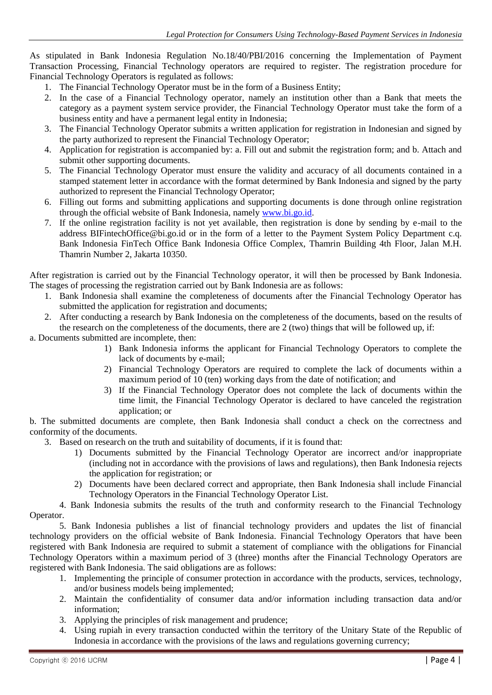As stipulated in Bank Indonesia Regulation No.18/40/PBI/2016 concerning the Implementation of Payment Transaction Processing, Financial Technology operators are required to register. The registration procedure for Financial Technology Operators is regulated as follows:

- 1. The Financial Technology Operator must be in the form of a Business Entity;
- 2. In the case of a Financial Technology operator, namely an institution other than a Bank that meets the category as a payment system service provider, the Financial Technology Operator must take the form of a business entity and have a permanent legal entity in Indonesia;
- 3. The Financial Technology Operator submits a written application for registration in Indonesian and signed by the party authorized to represent the Financial Technology Operator;
- 4. Application for registration is accompanied by: a. Fill out and submit the registration form; and b. Attach and submit other supporting documents.
- 5. The Financial Technology Operator must ensure the validity and accuracy of all documents contained in a stamped statement letter in accordance with the format determined by Bank Indonesia and signed by the party authorized to represent the Financial Technology Operator;
- 6. Filling out forms and submitting applications and supporting documents is done through online registration through the official website of Bank Indonesia, namely [www.bi.go.id.](http://www.bi.go.id/)
- 7. If the online registration facility is not yet available, then registration is done by sending by e-mail to the address BIFintechOffice@bi.go.id or in the form of a letter to the Payment System Policy Department c.q. Bank Indonesia FinTech Office Bank Indonesia Office Complex, Thamrin Building 4th Floor, Jalan M.H. Thamrin Number 2, Jakarta 10350.

After registration is carried out by the Financial Technology operator, it will then be processed by Bank Indonesia. The stages of processing the registration carried out by Bank Indonesia are as follows:

- 1. Bank Indonesia shall examine the completeness of documents after the Financial Technology Operator has submitted the application for registration and documents;
- 2. After conducting a research by Bank Indonesia on the completeness of the documents, based on the results of the research on the completeness of the documents, there are 2 (two) things that will be followed up, if:

a. Documents submitted are incomplete, then:

- 1) Bank Indonesia informs the applicant for Financial Technology Operators to complete the lack of documents by e-mail;
- 2) Financial Technology Operators are required to complete the lack of documents within a maximum period of 10 (ten) working days from the date of notification; and
- 3) If the Financial Technology Operator does not complete the lack of documents within the time limit, the Financial Technology Operator is declared to have canceled the registration application; or

b. The submitted documents are complete, then Bank Indonesia shall conduct a check on the correctness and conformity of the documents.

- 3. Based on research on the truth and suitability of documents, if it is found that:
	- 1) Documents submitted by the Financial Technology Operator are incorrect and/or inappropriate (including not in accordance with the provisions of laws and regulations), then Bank Indonesia rejects the application for registration; or
	- 2) Documents have been declared correct and appropriate, then Bank Indonesia shall include Financial Technology Operators in the Financial Technology Operator List.

4. Bank Indonesia submits the results of the truth and conformity research to the Financial Technology Operator.

5. Bank Indonesia publishes a list of financial technology providers and updates the list of financial technology providers on the official website of Bank Indonesia. Financial Technology Operators that have been registered with Bank Indonesia are required to submit a statement of compliance with the obligations for Financial Technology Operators within a maximum period of 3 (three) months after the Financial Technology Operators are registered with Bank Indonesia. The said obligations are as follows:

- 1. Implementing the principle of consumer protection in accordance with the products, services, technology, and/or business models being implemented;
- 2. Maintain the confidentiality of consumer data and/or information including transaction data and/or information;
- 3. Applying the principles of risk management and prudence;
- 4. Using rupiah in every transaction conducted within the territory of the Unitary State of the Republic of Indonesia in accordance with the provisions of the laws and regulations governing currency;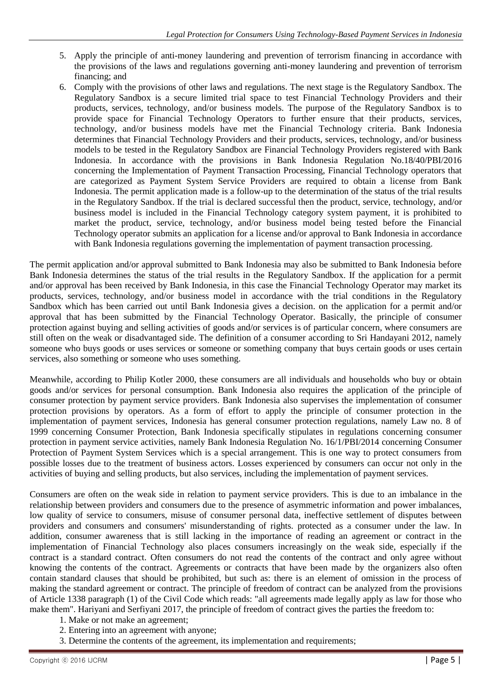- 5. Apply the principle of anti-money laundering and prevention of terrorism financing in accordance with the provisions of the laws and regulations governing anti-money laundering and prevention of terrorism financing; and
- 6. Comply with the provisions of other laws and regulations. The next stage is the Regulatory Sandbox. The Regulatory Sandbox is a secure limited trial space to test Financial Technology Providers and their products, services, technology, and/or business models. The purpose of the Regulatory Sandbox is to provide space for Financial Technology Operators to further ensure that their products, services, technology, and/or business models have met the Financial Technology criteria. Bank Indonesia determines that Financial Technology Providers and their products, services, technology, and/or business models to be tested in the Regulatory Sandbox are Financial Technology Providers registered with Bank Indonesia. In accordance with the provisions in Bank Indonesia Regulation No.18/40/PBI/2016 concerning the Implementation of Payment Transaction Processing, Financial Technology operators that are categorized as Payment System Service Providers are required to obtain a license from Bank Indonesia. The permit application made is a follow-up to the determination of the status of the trial results in the Regulatory Sandbox. If the trial is declared successful then the product, service, technology, and/or business model is included in the Financial Technology category system payment, it is prohibited to market the product, service, technology, and/or business model being tested before the Financial Technology operator submits an application for a license and/or approval to Bank Indonesia in accordance with Bank Indonesia regulations governing the implementation of payment transaction processing.

The permit application and/or approval submitted to Bank Indonesia may also be submitted to Bank Indonesia before Bank Indonesia determines the status of the trial results in the Regulatory Sandbox. If the application for a permit and/or approval has been received by Bank Indonesia, in this case the Financial Technology Operator may market its products, services, technology, and/or business model in accordance with the trial conditions in the Regulatory Sandbox which has been carried out until Bank Indonesia gives a decision. on the application for a permit and/or approval that has been submitted by the Financial Technology Operator. Basically, the principle of consumer protection against buying and selling activities of goods and/or services is of particular concern, where consumers are still often on the weak or disadvantaged side. The definition of a consumer according to Sri Handayani 2012, namely someone who buys goods or uses services or someone or something company that buys certain goods or uses certain services, also something or someone who uses something.

Meanwhile, according to Philip Kotler 2000, these consumers are all individuals and households who buy or obtain goods and/or services for personal consumption. Bank Indonesia also requires the application of the principle of consumer protection by payment service providers. Bank Indonesia also supervises the implementation of consumer protection provisions by operators. As a form of effort to apply the principle of consumer protection in the implementation of payment services, Indonesia has general consumer protection regulations, namely Law no. 8 of 1999 concerning Consumer Protection, Bank Indonesia specifically stipulates in regulations concerning consumer protection in payment service activities, namely Bank Indonesia Regulation No. 16/1/PBI/2014 concerning Consumer Protection of Payment System Services which is a special arrangement. This is one way to protect consumers from possible losses due to the treatment of business actors. Losses experienced by consumers can occur not only in the activities of buying and selling products, but also services, including the implementation of payment services.

Consumers are often on the weak side in relation to payment service providers. This is due to an imbalance in the relationship between providers and consumers due to the presence of asymmetric information and power imbalances, low quality of service to consumers, misuse of consumer personal data, ineffective settlement of disputes between providers and consumers and consumers' misunderstanding of rights. protected as a consumer under the law. In addition, consumer awareness that is still lacking in the importance of reading an agreement or contract in the implementation of Financial Technology also places consumers increasingly on the weak side, especially if the contract is a standard contract. Often consumers do not read the contents of the contract and only agree without knowing the contents of the contract. Agreements or contracts that have been made by the organizers also often contain standard clauses that should be prohibited, but such as: there is an element of omission in the process of making the standard agreement or contract. The principle of freedom of contract can be analyzed from the provisions of Article 1338 paragraph (1) of the Civil Code which reads: "all agreements made legally apply as law for those who make them". Hariyani and Serfiyani 2017, the principle of freedom of contract gives the parties the freedom to:

- 1. Make or not make an agreement;
- 2. Entering into an agreement with anyone;
- 3. Determine the contents of the agreement, its implementation and requirements;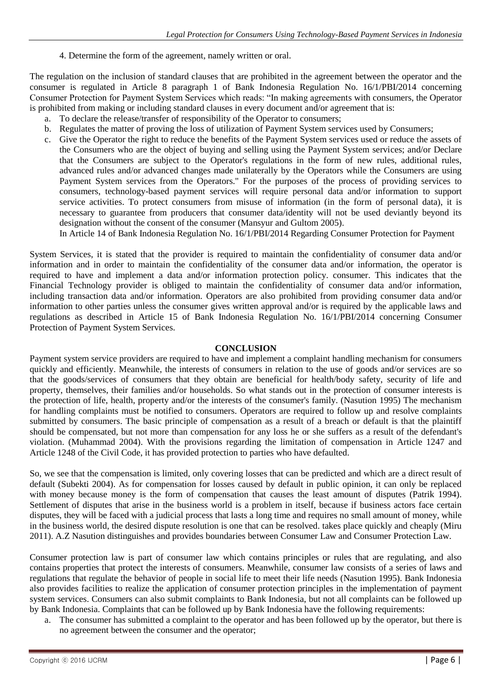4. Determine the form of the agreement, namely written or oral.

The regulation on the inclusion of standard clauses that are prohibited in the agreement between the operator and the consumer is regulated in Article 8 paragraph 1 of Bank Indonesia Regulation No. 16/1/PBI/2014 concerning Consumer Protection for Payment System Services which reads: "In making agreements with consumers, the Operator is prohibited from making or including standard clauses in every document and/or agreement that is:

- a. To declare the release/transfer of responsibility of the Operator to consumers;
- b. Regulates the matter of proving the loss of utilization of Payment System services used by Consumers;
- c. Give the Operator the right to reduce the benefits of the Payment System services used or reduce the assets of the Consumers who are the object of buying and selling using the Payment System services; and/or Declare that the Consumers are subject to the Operator's regulations in the form of new rules, additional rules, advanced rules and/or advanced changes made unilaterally by the Operators while the Consumers are using Payment System services from the Operators." For the purposes of the process of providing services to consumers, technology-based payment services will require personal data and/or information to support service activities. To protect consumers from misuse of information (in the form of personal data), it is necessary to guarantee from producers that consumer data/identity will not be used deviantly beyond its designation without the consent of the consumer (Mansyur and Gultom 2005).

In Article 14 of Bank Indonesia Regulation No. 16/1/PBI/2014 Regarding Consumer Protection for Payment

System Services, it is stated that the provider is required to maintain the confidentiality of consumer data and/or information and in order to maintain the confidentiality of the consumer data and/or information, the operator is required to have and implement a data and/or information protection policy. consumer. This indicates that the Financial Technology provider is obliged to maintain the confidentiality of consumer data and/or information, including transaction data and/or information. Operators are also prohibited from providing consumer data and/or information to other parties unless the consumer gives written approval and/or is required by the applicable laws and regulations as described in Article 15 of Bank Indonesia Regulation No. 16/1/PBI/2014 concerning Consumer Protection of Payment System Services.

#### **CONCLUSION**

Payment system service providers are required to have and implement a complaint handling mechanism for consumers quickly and efficiently. Meanwhile, the interests of consumers in relation to the use of goods and/or services are so that the goods/services of consumers that they obtain are beneficial for health/body safety, security of life and property, themselves, their families and/or households. So what stands out in the protection of consumer interests is the protection of life, health, property and/or the interests of the consumer's family. (Nasution 1995) The mechanism for handling complaints must be notified to consumers. Operators are required to follow up and resolve complaints submitted by consumers. The basic principle of compensation as a result of a breach or default is that the plaintiff should be compensated, but not more than compensation for any loss he or she suffers as a result of the defendant's violation. (Muhammad 2004). With the provisions regarding the limitation of compensation in Article 1247 and Article 1248 of the Civil Code, it has provided protection to parties who have defaulted.

So, we see that the compensation is limited, only covering losses that can be predicted and which are a direct result of default (Subekti 2004). As for compensation for losses caused by default in public opinion, it can only be replaced with money because money is the form of compensation that causes the least amount of disputes (Patrik 1994). Settlement of disputes that arise in the business world is a problem in itself, because if business actors face certain disputes, they will be faced with a judicial process that lasts a long time and requires no small amount of money, while in the business world, the desired dispute resolution is one that can be resolved. takes place quickly and cheaply (Miru 2011). A.Z Nasution distinguishes and provides boundaries between Consumer Law and Consumer Protection Law.

Consumer protection law is part of consumer law which contains principles or rules that are regulating, and also contains properties that protect the interests of consumers. Meanwhile, consumer law consists of a series of laws and regulations that regulate the behavior of people in social life to meet their life needs (Nasution 1995). Bank Indonesia also provides facilities to realize the application of consumer protection principles in the implementation of payment system services. Consumers can also submit complaints to Bank Indonesia, but not all complaints can be followed up by Bank Indonesia. Complaints that can be followed up by Bank Indonesia have the following requirements:

a. The consumer has submitted a complaint to the operator and has been followed up by the operator, but there is no agreement between the consumer and the operator;